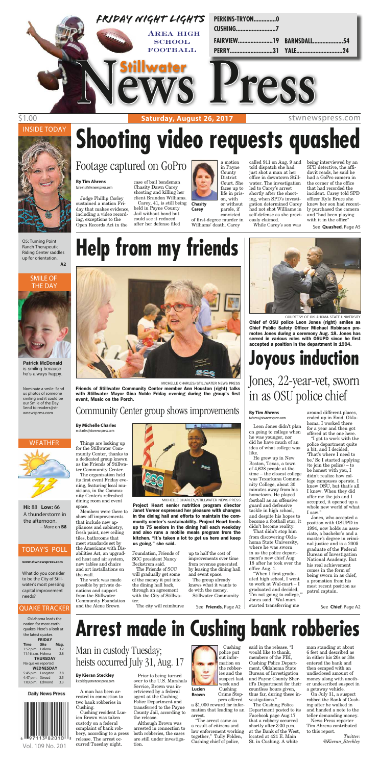

#### WEATHER



### INSIDE TODAY



#### SMILE OF THE DAY

#### TODAY'S POLL

Q5: Turning Point Ranch Therapeutic Riding Center saddles up for orientation. **A2**



**Patrick McDonald** is smiling because he's always happy.

Oklahoma leads the nation for most earthquakes. Here's a look at the latest quakes. **FRIDAY Time Site Mag.** 1:52 p.m. Helena 3.2<br>11:16 a.m. Helena 2.8 11:16 a.m. Helena **THURSDAY** No quakes reported. **WEDNESDAY** 5:45 p.m. Langston 2.8 4:47 p.m. Stroud 2.5<br>1:03 p.m. Edmond 3.3 1:03 p.m.  $Edmond$ 

**Daily News Press** 

Nominate a smile: Send us photos of someone smiling and it could be our Smile of the Day. Send to readers@stwnewspress.com

#### **www.stwnewspress.com**

What do you consider to be the City of Stillwater's most pressing capital improvement needs?

**Hi:** 88 **Low:** 66 A thunderstorm in the afternoon. – More on **B8**



### \$1.00 **Saturday, August 26, 2017** Stwnewspress.com

#### QUAKE TRACKER

Judge Phillip Corley sustained a motion Friday that makes evidence, including a video recording, exceptions to the Open Records Act in the

case of bail bondsman Chasity Dawn Carey shooting and killing her

client Brandon Williams. Carey, 41, is still being held in Payne County Jail without bond but could see it reduced after her defense filed



or without parole, if

convicted of first-degree murder in Williams' death. Carey

called 911 on Aug. 9 and told dispatch she had just shot a man at her office in downtown Stillwater. The investigation led to Carey's arrest shortly after the shooting, when SPD's investigation determined Carey had not shot Williams in self-defense as she previously claimed. While Carey's son was

being interviewed by an SPD detective, the affidavit reads, he said he had a GoPro camera in the corner of the office that had recorded the incident. Carey told SPD officer Kyle Bruce she knew her son had recently purchased the camera and "had been playing with it in the office"

# **Shooting video requests quashed**

**By Tim Ahrens** tahrens@stwnewspress.com

# Footage captured on GoPro

**Chasity Carey**

See **Quashed**, Page A5

Leon Jones didn't plan on going to college when he was younger, nor did he have much of an idea of what college was like. He grew up in New Boston, Texas, a town of 4,628 people at the time – the closest college was Texarkana Community College, about 30 minutes away from his hometown. He played football as an offensive guard and defensive tackle in high school, and despite his hopes to become a football star, it didn't become reality. That didn't stop him from discovering Oklahoma State University, where he was sworn in as the police department's new chief Aug. 18 after he took over the office Aug. 1. "When I first graduated high school, I went to work at Wal-mart – I graduated and decided, 'I'm not going to college,'" Jones said. "Wal-mart started transferring me

around different places, ended up in Enid, Oklahoma. I worked there for a year and then got

offered at the one here.

"I got to work with the police department quite a bit, and I decided, 'That's where I need to be.' So I started applying (to join the police) – to be honest with you, I didn't realize how college campuses operate. I knew OSU, but that's all I knew. When they did offer me the job and I accepted, it opened up a whole new world of what I saw."

Jones, who accepted a position with OSUPD in 1994, now holds an associate, a bachelor's and a master's degree in criminal justice and is a 2005 graduate of the Federal Bureau of Investigation National Academy. But his real achievement comes in the form of being sworn in as chief, a promotion from his most recent position as patrol captain.



#### **By Tim Ahrens** tahrens@stwnewspress.com

COURTESY OF OKLAHOMA STATE UNIVERSITY Chief of OSU police Leon Jones (right) smiles as Chief Public Safety Officer Michael Robinson promotes Jones during a ceremony Aug. 18. Jones has served in various roles with OSUPD since he first accepted a position in the department in 1994.

A man has been arrested in connection to two bank robberies in Cushing.

Cushing resident Lucien Brown was taken custody on a federal complaint of bank robbery, according to a press release. The arrest occurred Tuesday night.

Prior to being turned over to the U.S. Marshals Service, Brown was inertviewed by a federal agent at the Cushing Police Department and transferred to the Payne County Jail, according to the release.

Although Brown was arrested in connection to both robberies, the cases are still under investigation.

out information on the robberies and the suspect last week and Cushing

pers offered a \$1,000 reward for information that leading to an arrest.

"The arrest came as a result of citizens and law enforcement working together," Tully Folden, Cushing chief of police,

said in the release. "I would like to thank, members of the FBI, Cushing Police Department, Oklahoma State Bureau of Investigation and Payne County Sheriff's Department for their countless hours given, thus far, during these investigations."

The Cushing Police Department posted to its Facebook page Aug.17 that a robbery occurred shortly after 3:30 p.m. at the Bank of the West, located at 421 E. Main St. in Cushing. A white



man standing at about 6 feet and described as in either his 20s or 30s entered the bank and then escaped with an undisclosed amount of money along with another undescribed suspect in a getaway vehicle.

On July 31, a suspect robbed the Bank of Cushing after he walked in and handed a note to the teller demanding money.

News Press reporter Tim Ahrens contributed to this report.

*Twitter: @Kieran\_Steckley*

# **Arrest made in Cushing bank robberies**

#### **By Kieran Steckley** ksteckley@stwnewspress.com

## Man in custody Tuesday; heists occurred July 31, Aug. 17

See **Chief**, Page A2

Things are looking up for the Stillwater Community Center, thanks to a dedicated group known as the Friends of Stillwater Community Center.

The organization held its first event Friday evening, featuring local musicians, in the Community Center's refreshed dining room and event space.

Members were there to show off improvements that include new appliances and cabinetry, fresh paint, new ceiling tiles, bathrooms that meet standards set by the Americans with Disabilities Act, an upgraded heat and air system, new tables and chairs and art installations on the wall.

The work was made possible by private donations and support from the Stillwater Community Foundation and the Alene Brown

Foundation, Friends of SCC president Nancy Beckstrom said.

The Friends of SCC will gradually get some of the money it put into the dining hall back, through an agreement with the City of Stillwater.

The city will reimburse

up to half the cost of improvements over time from revenue generated by leasing the dining hall and event space. The group already knows what it wants to

do with the money. Stillwater Community

# **Help from my friends**



**By Michelle Charles**





mcharles@stwnewspress.com

## Community Center group shows improvements

MICHELLE CHARLES/STILLWATER NEWS PRESS Friends of Stillwater Community Center member Ann Houston (right) talks with Stillwater Mayor Gina Noble Friday evening during the group's first event, Music on the Porch.

MICHELLE CHARLES/STILLWATER NEWS PRESS

Project Heart senior nutrition program director Janet Verner expressed her pleasure with changes in the dining hall and efforts to maintain the community center's sustainability. Project Heart feeds up to 75 seniors in the dining hall each weekday and also runs a mobile meals program from the kitchen. "It's taken a lot to get us here and keep us going," she said.

See **Friends**, Page A2